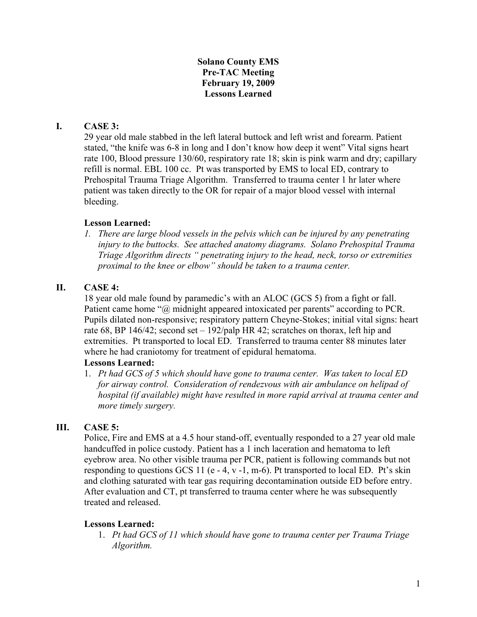### **Solano County EMS Pre-TAC Meeting February 19, 2009 Lessons Learned**

# **I. CASE 3:**

29 year old male stabbed in the left lateral buttock and left wrist and forearm. Patient stated, "the knife was 6-8 in long and I don't know how deep it went" Vital signs heart rate 100, Blood pressure 130/60, respiratory rate 18; skin is pink warm and dry; capillary refill is normal. EBL 100 cc. Pt was transported by EMS to local ED, contrary to Prehospital Trauma Triage Algorithm. Transferred to trauma center 1 hr later where patient was taken directly to the OR for repair of a major blood vessel with internal bleeding.

### **Lesson Learned:**

*1. There are large blood vessels in the pelvis which can be injured by any penetrating injury to the buttocks. See attached anatomy diagrams. Solano Prehospital Trauma Triage Algorithm directs " penetrating injury to the head, neck, torso or extremities proximal to the knee or elbow" should be taken to a trauma center.* 

### **II. CASE 4:**

18 year old male found by paramedic's with an ALOC (GCS 5) from a fight or fall. Patient came home "@ midnight appeared intoxicated per parents" according to PCR. Pupils dilated non-responsive; respiratory pattern Cheyne-Stokes; initial vital signs: heart rate 68, BP 146/42; second set  $-192$ /palp HR 42; scratches on thorax, left hip and extremities. Pt transported to local ED. Transferred to trauma center 88 minutes later where he had craniotomy for treatment of epidural hematoma.

#### **Lessons Learned:**

1. *Pt had GCS of 5 which should have gone to trauma center. Was taken to local ED for airway control. Consideration of rendezvous with air ambulance on helipad of hospital (if available) might have resulted in more rapid arrival at trauma center and more timely surgery.*

#### **III. CASE 5:**

Police, Fire and EMS at a 4.5 hour stand-off, eventually responded to a 27 year old male handcuffed in police custody. Patient has a 1 inch laceration and hematoma to left eyebrow area. No other visible trauma per PCR, patient is following commands but not responding to questions GCS 11 (e - 4, v -1, m-6). Pt transported to local ED. Pt's skin and clothing saturated with tear gas requiring decontamination outside ED before entry. After evaluation and CT, pt transferred to trauma center where he was subsequently treated and released.

#### **Lessons Learned:**

1. *Pt had GCS of 11 which should have gone to trauma center per Trauma Triage Algorithm.*